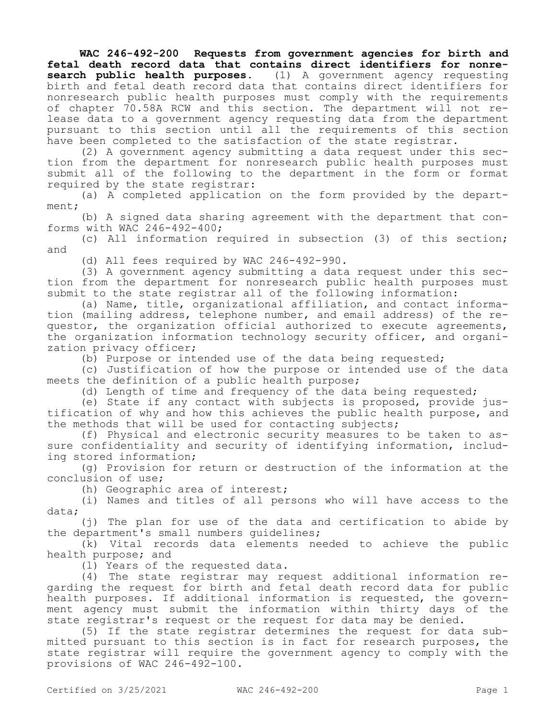**WAC 246-492-200 Requests from government agencies for birth and fetal death record data that contains direct identifiers for nonresearch public health purposes.** (1) A government agency requesting birth and fetal death record data that contains direct identifiers for nonresearch public health purposes must comply with the requirements of chapter 70.58A RCW and this section. The department will not release data to a government agency requesting data from the department pursuant to this section until all the requirements of this section have been completed to the satisfaction of the state registrar.

(2) A government agency submitting a data request under this section from the department for nonresearch public health purposes must submit all of the following to the department in the form or format required by the state registrar:

(a) A completed application on the form provided by the department;

(b) A signed data sharing agreement with the department that conforms with WAC 246-492-400;

(c) All information required in subsection (3) of this section; and

(d) All fees required by WAC 246-492-990.

(3) A government agency submitting a data request under this section from the department for nonresearch public health purposes must submit to the state registrar all of the following information:

(a) Name, title, organizational affiliation, and contact information (mailing address, telephone number, and email address) of the requestor, the organization official authorized to execute agreements, the organization information technology security officer, and organization privacy officer;

(b) Purpose or intended use of the data being requested;

(c) Justification of how the purpose or intended use of the data meets the definition of a public health purpose;

(d) Length of time and frequency of the data being requested;

(e) State if any contact with subjects is proposed, provide justification of why and how this achieves the public health purpose, and the methods that will be used for contacting subjects;

(f) Physical and electronic security measures to be taken to assure confidentiality and security of identifying information, including stored information;

(g) Provision for return or destruction of the information at the conclusion of use;

(h) Geographic area of interest;

(i) Names and titles of all persons who will have access to the data;

(j) The plan for use of the data and certification to abide by the department's small numbers guidelines;

(k) Vital records data elements needed to achieve the public health purpose; and

(l) Years of the requested data.

(4) The state registrar may request additional information regarding the request for birth and fetal death record data for public health purposes. If additional information is requested, the government agency must submit the information within thirty days of the state registrar's request or the request for data may be denied.

(5) If the state registrar determines the request for data submitted pursuant to this section is in fact for research purposes, the state registrar will require the government agency to comply with the provisions of WAC 246-492-100.